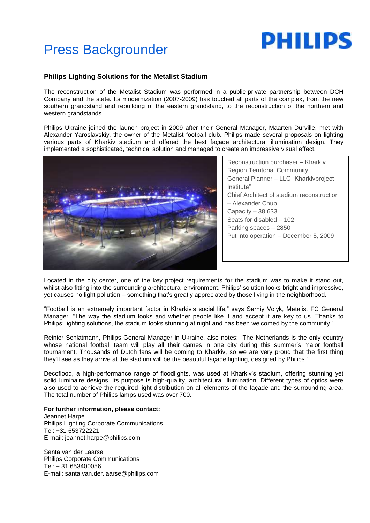# **PHILIPS**

# Press Backgrounder

## **Philips Lighting Solutions for the Metalist Stadium**

The reconstruction of the Metalist Stadium was performed in a public-private partnership between DCH Company and the state. Its modernization (2007-2009) has touched all parts of the complex, from the new southern grandstand and rebuilding of the eastern grandstand, to the reconstruction of the northern and western grandstands.

Philips Ukraine joined the launch project in 2009 after their General Manager, Maarten Durville, met with Alexander Yaroslavskiy, the owner of the Metalist football club. Philips made several proposals on lighting various parts of Kharkiv stadium and offered the best façade architectural illumination design. They implemented a sophisticated, technical solution and managed to create an impressive visual effect.



Reconstruction purchaser – Kharkiv Region Territorial Community General Planner – LLC "Kharkivproject Institute" Chief Architect of stadium reconstruction – Alexander Chub Capacity – 38 633 Seats for disabled – 102 Parking spaces – 2850 Put into operation – December 5, 2009

Located in the city center, one of the key project requirements for the stadium was to make it stand out, whilst also fitting into the surrounding architectural environment. Philips' solution looks bright and impressive, yet causes no light pollution – something that's greatly appreciated by those living in the neighborhood.

"Football is an extremely important factor in Kharkiv's social life," says Serhiy Volyk, Metalist FC General Manager. "The way the stadium looks and whether people like it and accept it are key to us. Thanks to Philips' lighting solutions, the stadium looks stunning at night and has been welcomed by the community."

Reinier Schlatmann, Philips General Manager in Ukraine, also notes: "The Netherlands is the only country whose national football team will play all their games in one city during this summer's major football tournament. Thousands of Dutch fans will be coming to Kharkiv, so we are very proud that the first thing they'll see as they arrive at the stadium will be the beautiful façade lighting, designed by Philips."

Decoflood, a high-performance range of floodlights, was used at Kharkiv's stadium, offering stunning yet solid luminaire designs. Its purpose is high-quality, architectural illumination. Different types of optics were also used to achieve the required light distribution on all elements of the façade and the surrounding area. The total number of Philips lamps used was over 700.

#### **For further information, please contact:**

Jeannet Harpe Philips Lighting Corporate Communications Tel: +31 653722221 E-mail: jeannet.harpe@philips.com

Santa van der Laarse Philips Corporate Communications Tel: + 31 653400056 E-mail: santa.van.der.laarse@philips.com